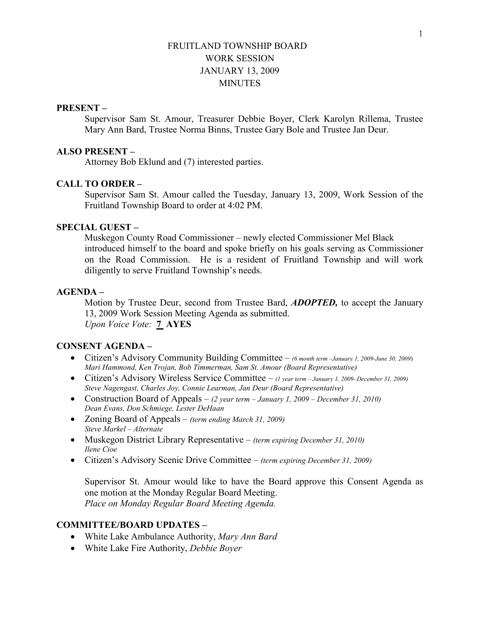# FRUITLAND TOWNSHIP BOARD WORK SESSION JANUARY 13, 2009 **MINUTES**

#### PRESENT –

Supervisor Sam St. Amour, Treasurer Debbie Boyer, Clerk Karolyn Rillema, Trustee Mary Ann Bard, Trustee Norma Binns, Trustee Gary Bole and Trustee Jan Deur.

### ALSO PRESENT –

Attorney Bob Eklund and (7) interested parties.

### CALL TO ORDER –

 Supervisor Sam St. Amour called the Tuesday, January 13, 2009, Work Session of the Fruitland Township Board to order at 4:02 PM.

# SPECIAL GUEST –

Muskegon County Road Commissioner – newly elected Commissioner Mel Black introduced himself to the board and spoke briefly on his goals serving as Commissioner on the Road Commission. He is a resident of Fruitland Township and will work diligently to serve Fruitland Township's needs.

#### AGENDA –

Motion by Trustee Deur, second from Trustee Bard, **ADOPTED**, to accept the January 13, 2009 Work Session Meeting Agenda as submitted. Upon Voice Vote: 7 AYES

# CONSENT AGENDA –

- Citizen's Advisory Community Building Committee (6 month term -January 1, 2009-June 30, 2009) Mari Hammond, Ken Trojan, Bob Timmerman, Sam St. Amour (Board Representative)
- Citizen's Advisory Wireless Service Committee  $-$  (1 year term January 1, 2009–December 31, 2009) Steve Nagengast, Charles Joy, Connie Learman, Jan Deur (Board Representative)
- Construction Board of Appeals  $(2 \text{ year term} January 1, 2009 December 31, 2010)$ Dean Evans, Don Schmiege, Lester DeHaan
- Zoning Board of Appeals *(term ending March 31, 2009)* Steve Markel – Alternate
- Muskegon District Library Representative  $-$  (term expiring December 31, 2010) Ilene Cioe
- Citizen's Advisory Scenic Drive Committee (term expiring December 31, 2009)

Supervisor St. Amour would like to have the Board approve this Consent Agenda as one motion at the Monday Regular Board Meeting. Place on Monday Regular Board Meeting Agenda.

# COMMITTEE/BOARD UPDATES –

- White Lake Ambulance Authority, Mary Ann Bard
- White Lake Fire Authority, Debbie Boyer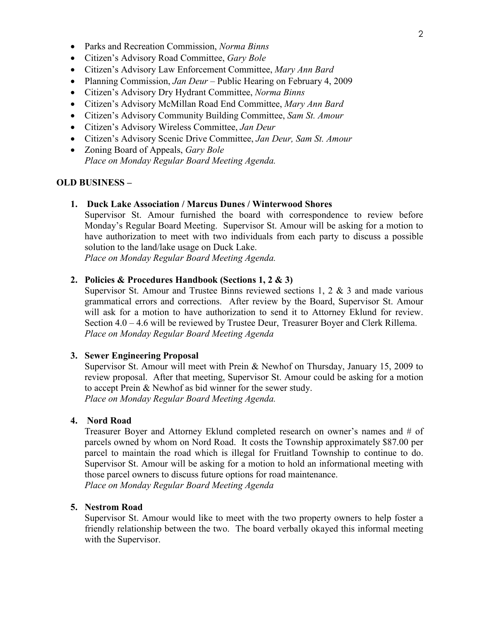- Parks and Recreation Commission, Norma Binns
- Citizen's Advisory Road Committee, Gary Bole
- Citizen's Advisory Law Enforcement Committee, Mary Ann Bard
- Planning Commission, Jan Deur Public Hearing on February 4, 2009
- Citizen's Advisory Dry Hydrant Committee, Norma Binns
- Citizen's Advisory McMillan Road End Committee, Mary Ann Bard
- Citizen's Advisory Community Building Committee, Sam St. Amour
- Citizen's Advisory Wireless Committee, Jan Deur
- Citizen's Advisory Scenic Drive Committee, Jan Deur, Sam St. Amour
- Zoning Board of Appeals, *Gary Bole* Place on Monday Regular Board Meeting Agenda.

#### OLD BUSINESS –

1. Duck Lake Association / Marcus Dunes / Winterwood Shores

Supervisor St. Amour furnished the board with correspondence to review before Monday's Regular Board Meeting. Supervisor St. Amour will be asking for a motion to have authorization to meet with two individuals from each party to discuss a possible solution to the land/lake usage on Duck Lake.

Place on Monday Regular Board Meeting Agenda.

### 2. Policies & Procedures Handbook (Sections 1, 2 & 3)

Supervisor St. Amour and Trustee Binns reviewed sections 1, 2 & 3 and made various grammatical errors and corrections. After review by the Board, Supervisor St. Amour will ask for a motion to have authorization to send it to Attorney Eklund for review. Section 4.0 – 4.6 will be reviewed by Trustee Deur, Treasurer Boyer and Clerk Rillema. Place on Monday Regular Board Meeting Agenda

#### 3. Sewer Engineering Proposal

Supervisor St. Amour will meet with Prein & Newhof on Thursday, January 15, 2009 to review proposal. After that meeting, Supervisor St. Amour could be asking for a motion to accept Prein & Newhof as bid winner for the sewer study. Place on Monday Regular Board Meeting Agenda.

# 4. Nord Road

 Treasurer Boyer and Attorney Eklund completed research on owner's names and # of parcels owned by whom on Nord Road. It costs the Township approximately \$87.00 per parcel to maintain the road which is illegal for Fruitland Township to continue to do. Supervisor St. Amour will be asking for a motion to hold an informational meeting with those parcel owners to discuss future options for road maintenance.

Place on Monday Regular Board Meeting Agenda

#### 5. Nestrom Road

 Supervisor St. Amour would like to meet with the two property owners to help foster a friendly relationship between the two. The board verbally okayed this informal meeting with the Supervisor.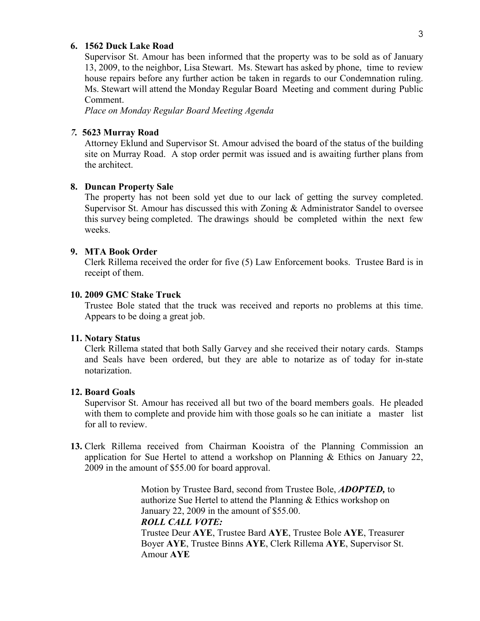### 6. 1562 Duck Lake Road

 Supervisor St. Amour has been informed that the property was to be sold as of January 13, 2009, to the neighbor, Lisa Stewart. Ms. Stewart has asked by phone, time to review house repairs before any further action be taken in regards to our Condemnation ruling. Ms. Stewart will attend the Monday Regular Board Meeting and comment during Public Comment.

Place on Monday Regular Board Meeting Agenda

#### 7. 5623 Murray Road

 Attorney Eklund and Supervisor St. Amour advised the board of the status of the building site on Murray Road. A stop order permit was issued and is awaiting further plans from the architect.

## 8. Duncan Property Sale

 The property has not been sold yet due to our lack of getting the survey completed. Supervisor St. Amour has discussed this with Zoning & Administrator Sandel to oversee this survey being completed. The drawings should be completed within the next few weeks.

# 9. MTA Book Order

 Clerk Rillema received the order for five (5) Law Enforcement books. Trustee Bard is in receipt of them.

# 10. 2009 GMC Stake Truck

 Trustee Bole stated that the truck was received and reports no problems at this time. Appears to be doing a great job.

### 11. Notary Status

 Clerk Rillema stated that both Sally Garvey and she received their notary cards. Stamps and Seals have been ordered, but they are able to notarize as of today for in-state notarization.

### 12. Board Goals

Supervisor St. Amour has received all but two of the board members goals. He pleaded with them to complete and provide him with those goals so he can initiate a master list for all to review.

13. Clerk Rillema received from Chairman Kooistra of the Planning Commission an application for Sue Hertel to attend a workshop on Planning & Ethics on January 22, 2009 in the amount of \$55.00 for board approval.

> Motion by Trustee Bard, second from Trustee Bole, ADOPTED, to authorize Sue Hertel to attend the Planning & Ethics workshop on January 22, 2009 in the amount of \$55.00. ROLL CALL VOTE: Trustee Deur AYE, Trustee Bard AYE, Trustee Bole AYE, Treasurer Boyer AYE, Trustee Binns AYE, Clerk Rillema AYE, Supervisor St. Amour AYE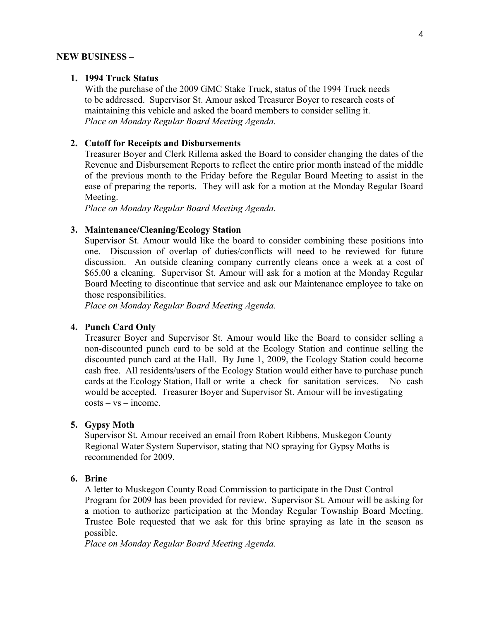#### NEW BUSINESS –

## 1. 1994 Truck Status

 With the purchase of the 2009 GMC Stake Truck, status of the 1994 Truck needs to be addressed. Supervisor St. Amour asked Treasurer Boyer to research costs of maintaining this vehicle and asked the board members to consider selling it. Place on Monday Regular Board Meeting Agenda.

### 2. Cutoff for Receipts and Disbursements

 Treasurer Boyer and Clerk Rillema asked the Board to consider changing the dates of the Revenue and Disbursement Reports to reflect the entire prior month instead of the middle of the previous month to the Friday before the Regular Board Meeting to assist in the ease of preparing the reports. They will ask for a motion at the Monday Regular Board Meeting.

Place on Monday Regular Board Meeting Agenda.

### 3. Maintenance/Cleaning/Ecology Station

 Supervisor St. Amour would like the board to consider combining these positions into one. Discussion of overlap of duties/conflicts will need to be reviewed for future discussion. An outside cleaning company currently cleans once a week at a cost of \$65.00 a cleaning. Supervisor St. Amour will ask for a motion at the Monday Regular Board Meeting to discontinue that service and ask our Maintenance employee to take on those responsibilities.

Place on Monday Regular Board Meeting Agenda.

### 4. Punch Card Only

 Treasurer Boyer and Supervisor St. Amour would like the Board to consider selling a non-discounted punch card to be sold at the Ecology Station and continue selling the discounted punch card at the Hall. By June 1, 2009, the Ecology Station could become cash free. All residents/users of the Ecology Station would either have to purchase punch cards at the Ecology Station, Hall or write a check for sanitation services. No cash would be accepted. Treasurer Boyer and Supervisor St. Amour will be investigating  $costs - vs - income.$ 

### 5. Gypsy Moth

 Supervisor St. Amour received an email from Robert Ribbens, Muskegon County Regional Water System Supervisor, stating that NO spraying for Gypsy Moths is recommended for 2009.

# 6. Brine

 A letter to Muskegon County Road Commission to participate in the Dust Control Program for 2009 has been provided for review. Supervisor St. Amour will be asking for a motion to authorize participation at the Monday Regular Township Board Meeting. Trustee Bole requested that we ask for this brine spraying as late in the season as possible.

Place on Monday Regular Board Meeting Agenda.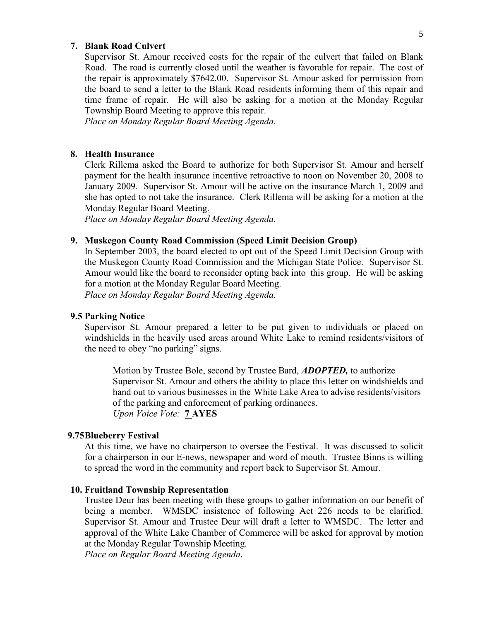#### 7. Blank Road Culvert

 Supervisor St. Amour received costs for the repair of the culvert that failed on Blank Road. The road is currently closed until the weather is favorable for repair. The cost of the repair is approximately \$7642.00. Supervisor St. Amour asked for permission from the board to send a letter to the Blank Road residents informing them of this repair and time frame of repair. He will also be asking for a motion at the Monday Regular Township Board Meeting to approve this repair.

Place on Monday Regular Board Meeting Agenda.

### 8. Health Insurance

 Clerk Rillema asked the Board to authorize for both Supervisor St. Amour and herself payment for the health insurance incentive retroactive to noon on November 20, 2008 to January 2009. Supervisor St. Amour will be active on the insurance March 1, 2009 and she has opted to not take the insurance. Clerk Rillema will be asking for a motion at the Monday Regular Board Meeting.

Place on Monday Regular Board Meeting Agenda.

### 9. Muskegon County Road Commission (Speed Limit Decision Group)

 In September 2003, the board elected to opt out of the Speed Limit Decision Group with the Muskegon County Road Commission and the Michigan State Police. Supervisor St. Amour would like the board to reconsider opting back into this group. He will be asking for a motion at the Monday Regular Board Meeting. Place on Monday Regular Board Meeting Agenda.

#### 9.5 Parking Notice

 Supervisor St. Amour prepared a letter to be put given to individuals or placed on windshields in the heavily used areas around White Lake to remind residents/visitors of the need to obey "no parking" signs.

Motion by Trustee Bole, second by Trustee Bard, **ADOPTED**, to authorize Supervisor St. Amour and others the ability to place this letter on windshields and hand out to various businesses in the White Lake Area to advise residents/visitors of the parking and enforcement of parking ordinances. Upon Voice Vote: 7 AYES

# 9.75Blueberry Festival

 At this time, we have no chairperson to oversee the Festival. It was discussed to solicit for a chairperson in our E-news, newspaper and word of mouth. Trustee Binns is willing to spread the word in the community and report back to Supervisor St. Amour.

#### 10. Fruitland Township Representation

 Trustee Deur has been meeting with these groups to gather information on our benefit of being a member. WMSDC insistence of following Act 226 needs to be clarified. Supervisor St. Amour and Trustee Deur will draft a letter to WMSDC. The letter and approval of the White Lake Chamber of Commerce will be asked for approval by motion at the Monday Regular Township Meeting.

Place on Regular Board Meeting Agenda.